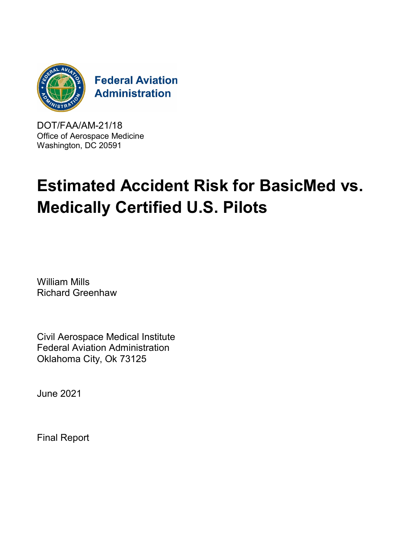

DOT/FAA/AM-21/18 Office of Aerospace Medicine Washington, DC 20591

# **Estimated Accident Risk for BasicMed vs. Medically Certified U.S. Pilots**

William Mills Richard Greenhaw

Civil Aerospace Medical Institute Federal Aviation Administration Oklahoma City, Ok 73125

June 2021

Final Report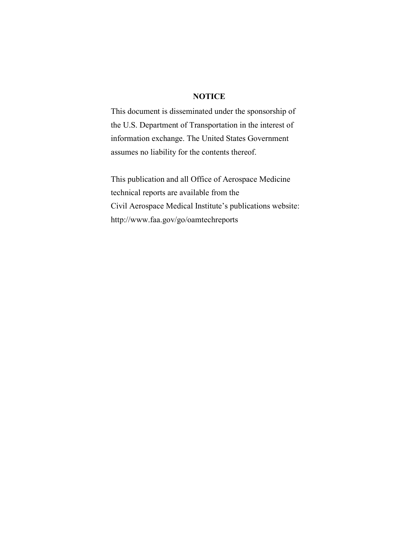### **NOTICE**

This document is disseminated under the sponsorship of the U.S. Department of Transportation in the interest of information exchange. The United States Government assumes no liability for the contents thereof.

This publication and all Office of Aerospace Medicine technical reports are available from the Civil Aerospace Medical Institute's publications website: http://www.faa.gov/go/oamtechreports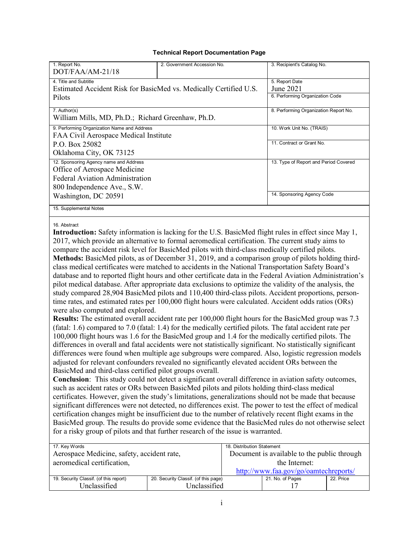#### **Technical Report Documentation Page**

| 1. Report No.<br>$DOT/FAA/AM-21/18$                                                  | 2. Government Accession No.           | 3. Recipient's Catalog No.      |  |
|--------------------------------------------------------------------------------------|---------------------------------------|---------------------------------|--|
| 4. Title and Subtitle                                                                |                                       | 5. Report Date<br>June 2021     |  |
| Estimated Accident Risk for BasicMed vs. Medically Certified U.S.<br>Pilots          |                                       | 6. Performing Organization Code |  |
| 7. Author(s)<br>William Mills, MD, Ph.D.; Richard Greenhaw, Ph.D.                    | 8. Performing Organization Report No. |                                 |  |
| 9. Performing Organization Name and Address<br>FAA Civil Aerospace Medical Institute | 10. Work Unit No. (TRAIS)             |                                 |  |
| P.O. Box 25082                                                                       |                                       | 11. Contract or Grant No.       |  |
| Oklahoma City, OK 73125                                                              |                                       |                                 |  |
| 12. Sponsoring Agency name and Address<br>Office of Aerospace Medicine               | 13. Type of Report and Period Covered |                                 |  |
| <b>Federal Aviation Administration</b>                                               |                                       |                                 |  |
| 800 Independence Ave., S.W.                                                          |                                       |                                 |  |
| Washington, DC 20591                                                                 |                                       | 14. Sponsoring Agency Code      |  |
| 15. Supplemental Notes                                                               |                                       |                                 |  |
|                                                                                      |                                       |                                 |  |

16. Abstract

**Introduction:** Safety information is lacking for the U.S. BasicMed flight rules in effect since May 1, 2017, which provide an alternative to formal aeromedical certification. The current study aims to compare the accident risk level for BasicMed pilots with third-class medically certified pilots. **Methods:** BasicMed pilots, as of December 31, 2019, and a comparison group of pilots holding thirdclass medical certificates were matched to accidents in the National Transportation Safety Board's database and to reported flight hours and other certificate data in the Federal Aviation Administration's pilot medical database. After appropriate data exclusions to optimize the validity of the analysis, the study compared 28,904 BasicMed pilots and 110,400 third-class pilots. Accident proportions, persontime rates, and estimated rates per 100,000 flight hours were calculated. Accident odds ratios (ORs) were also computed and explored.

**Results:** The estimated overall accident rate per 100,000 flight hours for the BasicMed group was 7.3 (fatal: 1.6) compared to 7.0 (fatal: 1.4) for the medically certified pilots. The fatal accident rate per 100,000 flight hours was 1.6 for the BasicMed group and 1.4 for the medically certified pilots. The differences in overall and fatal accidents were not statistically significant. No statistically significant differences were found when multiple age subgroups were compared. Also, logistic regression models adjusted for relevant confounders revealed no significantly elevated accident ORs between the BasicMed and third-class certified pilot groups overall.

**Conclusion**: This study could not detect a significant overall difference in aviation safety outcomes, such as accident rates or ORs between BasicMed pilots and pilots holding third-class medical certificates. However, given the study's limitations, generalizations should not be made that because significant differences were not detected, no differences exist. The power to test the effect of medical certification changes might be insufficient due to the number of relatively recent flight exams in the BasicMed group. The results do provide some evidence that the BasicMed rules do not otherwise select for a risky group of pilots and that further research of the issue is warranted.

| 17. Key Words                              |                                      | 18. Distribution Statement                  |                  |           |
|--------------------------------------------|--------------------------------------|---------------------------------------------|------------------|-----------|
| Aerospace Medicine, safety, accident rate, |                                      | Document is available to the public through |                  |           |
| aeromedical certification,                 |                                      | the Internet:                               |                  |           |
|                                            |                                      | http://www.faa.gov/go/oamtechreports/       |                  |           |
| 19. Security Classif. (of this report)     | 20. Security Classif. (of this page) |                                             | 21. No. of Pages | 22. Price |
| Unclassified                               | Unclassified                         |                                             |                  |           |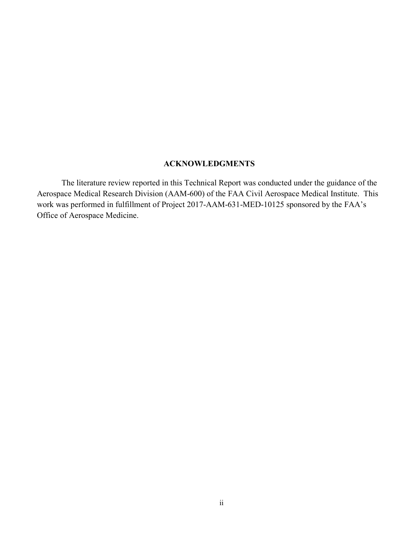## **ACKNOWLEDGMENTS**

The literature review reported in this Technical Report was conducted under the guidance of the Aerospace Medical Research Division (AAM-600) of the FAA Civil Aerospace Medical Institute. This work was performed in fulfillment of Project 2017-AAM-631-MED-10125 sponsored by the FAA's Office of Aerospace Medicine.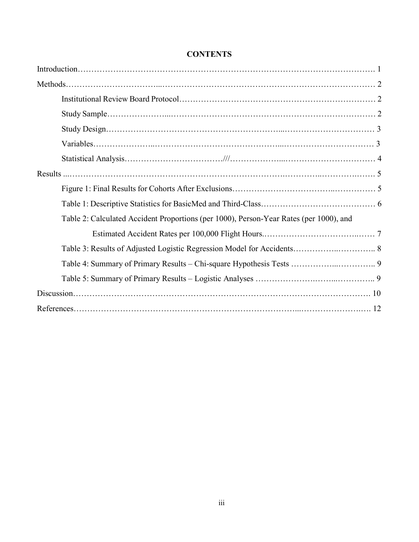| Table 2: Calculated Accident Proportions (per 1000), Person-Year Rates (per 1000), and |
|----------------------------------------------------------------------------------------|
|                                                                                        |
|                                                                                        |
|                                                                                        |
|                                                                                        |
|                                                                                        |
|                                                                                        |

## **CONTENTS**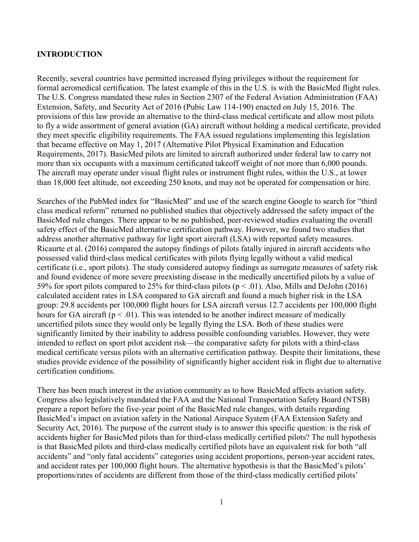#### **INTRODUCTION**

Recently, several countries have permitted increased flying privileges without the requirement for formal aeromedical certification. The latest example of this in the U.S. is with the BasicMed flight rules. The U.S. Congress mandated these rules in Section 2307 of the Federal Aviation Administration (FAA) Extension, Safety, and Security Act of 2016 (Pubic Law 114-190) enacted on July 15, 2016. The provisions of this law provide an alternative to the third-class medical certificate and allow most pilots to fly a wide assortment of general aviation (GA) aircraft without holding a medical certificate, provided they meet specific eligibility requirements. The FAA issued regulations implementing this legislation that became effective on May 1, 2017 (Alternative Pilot Physical Examination and Education Requirements, 2017). BasicMed pilots are limited to aircraft authorized under federal law to carry not more than six occupants with a maximum certificated takeoff weight of not more than 6,000 pounds. The aircraft may operate under visual flight rules or instrument flight rules, within the U.S., at lower than 18,000 feet altitude, not exceeding 250 knots, and may not be operated for compensation or hire.

Searches of the PubMed index for "BasicMed" and use of the search engine Google to search for "third class medical reform" returned no published studies that objectively addressed the safety impact of the BasicMed rule changes. There appear to be no published, peer-reviewed studies evaluating the overall safety effect of the BasicMed alternative certification pathway. However, we found two studies that address another alternative pathway for light sport aircraft (LSA) with reported safety measures. Ricaurte et al. (2016) compared the autopsy findings of pilots fatally injured in aircraft accidents who possessed valid third-class medical certificates with pilots flying legally without a valid medical certificate (i.e., sport pilots). The study considered autopsy findings as surrogate measures of safety risk and found evidence of more severe preexisting disease in the medically uncertified pilots by a value of 59% for sport pilots compared to 25% for third-class pilots ( $p < .01$ ). Also, Mills and DeJohn (2016) calculated accident rates in LSA compared to GA aircraft and found a much higher risk in the LSA group: 29.8 accidents per 100,000 flight hours for LSA aircraft versus 12.7 accidents per 100,000 flight hours for GA aircraft ( $p < .01$ ). This was intended to be another indirect measure of medically uncertified pilots since they would only be legally flying the LSA. Both of these studies were significantly limited by their inability to address possible confounding variables. However, they were intended to reflect on sport pilot accident risk—the comparative safety for pilots with a third-class medical certificate versus pilots with an alternative certification pathway. Despite their limitations, these studies provide evidence of the possibility of significantly higher accident risk in flight due to alternative certification conditions.

There has been much interest in the aviation community as to how BasicMed affects aviation safety. Congress also legislatively mandated the FAA and the National Transportation Safety Board (NTSB) prepare a report before the five-year point of the BasicMed rule changes, with details regarding BasicMed's impact on aviation safety in the National Airspace System (FAA Extension Safety and Security Act, 2016). The purpose of the current study is to answer this specific question: is the risk of accidents higher for BasicMed pilots than for third-class medically certified pilots? The null hypothesis is that BasicMed pilots and third-class medically certified pilots have an equivalent risk for both "all accidents" and "only fatal accidents" categories using accident proportions, person-year accident rates, and accident rates per 100,000 flight hours. The alternative hypothesis is that the BasicMed's pilots' proportions/rates of accidents are different from those of the third-class medically certified pilots'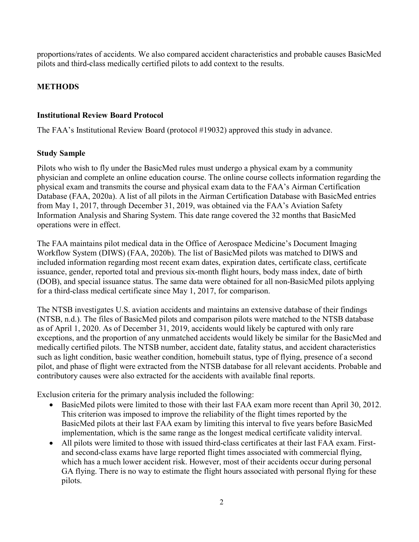proportions/rates of accidents. We also compared accident characteristics and probable causes BasicMed pilots and third-class medically certified pilots to add context to the results.

## **METHODS**

## **Institutional Review Board Protocol**

The FAA's Institutional Review Board (protocol #19032) approved this study in advance.

## **Study Sample**

Pilots who wish to fly under the BasicMed rules must undergo a physical exam by a community physician and complete an online education course. The online course collects information regarding the physical exam and transmits the course and physical exam data to the FAA's Airman Certification Database (FAA, 2020a). A list of all pilots in the Airman Certification Database with BasicMed entries from May 1, 2017, through December 31, 2019, was obtained via the FAA's Aviation Safety Information Analysis and Sharing System. This date range covered the 32 months that BasicMed operations were in effect.

The FAA maintains pilot medical data in the Office of Aerospace Medicine's Document Imaging Workflow System (DIWS) (FAA, 2020b). The list of BasicMed pilots was matched to DIWS and included information regarding most recent exam dates, expiration dates, certificate class, certificate issuance, gender, reported total and previous six-month flight hours, body mass index, date of birth (DOB), and special issuance status. The same data were obtained for all non-BasicMed pilots applying for a third-class medical certificate since May 1, 2017, for comparison.

The NTSB investigates U.S. aviation accidents and maintains an extensive database of their findings (NTSB, n.d.). The files of BasicMed pilots and comparison pilots were matched to the NTSB database as of April 1, 2020. As of December 31, 2019, accidents would likely be captured with only rare exceptions, and the proportion of any unmatched accidents would likely be similar for the BasicMed and medically certified pilots. The NTSB number, accident date, fatality status, and accident characteristics such as light condition, basic weather condition, homebuilt status, type of flying, presence of a second pilot, and phase of flight were extracted from the NTSB database for all relevant accidents. Probable and contributory causes were also extracted for the accidents with available final reports.

Exclusion criteria for the primary analysis included the following:

- BasicMed pilots were limited to those with their last FAA exam more recent than April 30, 2012. This criterion was imposed to improve the reliability of the flight times reported by the BasicMed pilots at their last FAA exam by limiting this interval to five years before BasicMed implementation, which is the same range as the longest medical certificate validity interval.
- All pilots were limited to those with issued third-class certificates at their last FAA exam. Firstand second-class exams have large reported flight times associated with commercial flying, which has a much lower accident risk. However, most of their accidents occur during personal GA flying. There is no way to estimate the flight hours associated with personal flying for these pilots.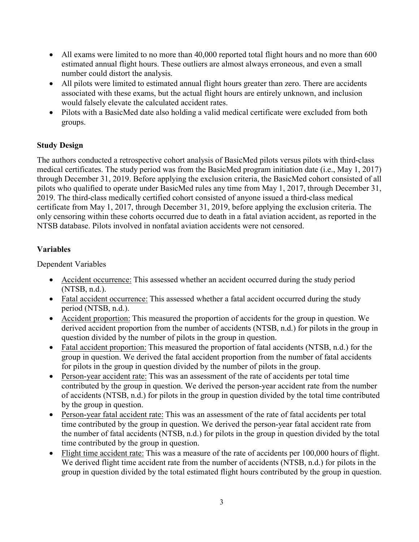- All exams were limited to no more than 40,000 reported total flight hours and no more than 600 estimated annual flight hours. These outliers are almost always erroneous, and even a small number could distort the analysis.
- All pilots were limited to estimated annual flight hours greater than zero. There are accidents associated with these exams, but the actual flight hours are entirely unknown, and inclusion would falsely elevate the calculated accident rates.
- Pilots with a BasicMed date also holding a valid medical certificate were excluded from both groups.

## **Study Design**

The authors conducted a retrospective cohort analysis of BasicMed pilots versus pilots with third-class medical certificates. The study period was from the BasicMed program initiation date (i.e., May 1, 2017) through December 31, 2019. Before applying the exclusion criteria, the BasicMed cohort consisted of all pilots who qualified to operate under BasicMed rules any time from May 1, 2017, through December 31, 2019. The third-class medically certified cohort consisted of anyone issued a third-class medical certificate from May 1, 2017, through December 31, 2019, before applying the exclusion criteria. The only censoring within these cohorts occurred due to death in a fatal aviation accident, as reported in the NTSB database. Pilots involved in nonfatal aviation accidents were not censored.

## **Variables**

Dependent Variables

- Accident occurrence: This assessed whether an accident occurred during the study period (NTSB, n.d.).
- Fatal accident occurrence: This assessed whether a fatal accident occurred during the study period (NTSB, n.d.).
- Accident proportion: This measured the proportion of accidents for the group in question. We derived accident proportion from the number of accidents (NTSB, n.d.) for pilots in the group in question divided by the number of pilots in the group in question.
- Fatal accident proportion: This measured the proportion of fatal accidents (NTSB, n.d.) for the group in question. We derived the fatal accident proportion from the number of fatal accidents for pilots in the group in question divided by the number of pilots in the group.
- Person-year accident rate: This was an assessment of the rate of accidents per total time contributed by the group in question. We derived the person-year accident rate from the number of accidents (NTSB, n.d.) for pilots in the group in question divided by the total time contributed by the group in question.
- Person-year fatal accident rate: This was an assessment of the rate of fatal accidents per total time contributed by the group in question. We derived the person-year fatal accident rate from the number of fatal accidents (NTSB, n.d.) for pilots in the group in question divided by the total time contributed by the group in question.
- Flight time accident rate: This was a measure of the rate of accidents per 100,000 hours of flight. We derived flight time accident rate from the number of accidents (NTSB, n.d.) for pilots in the group in question divided by the total estimated flight hours contributed by the group in question.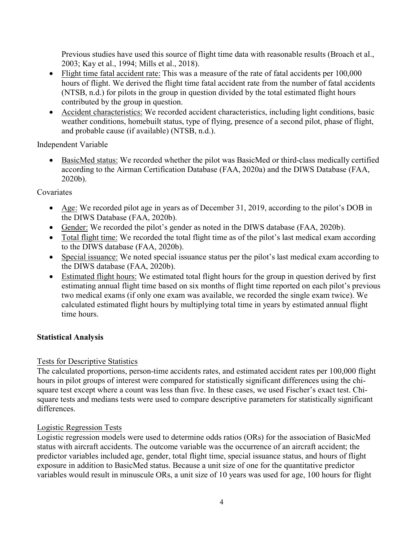Previous studies have used this source of flight time data with reasonable results (Broach et al., 2003; Kay et al., 1994; Mills et al., 2018).

- Flight time fatal accident rate: This was a measure of the rate of fatal accidents per 100,000 hours of flight. We derived the flight time fatal accident rate from the number of fatal accidents (NTSB, n.d.) for pilots in the group in question divided by the total estimated flight hours contributed by the group in question.
- Accident characteristics: We recorded accident characteristics, including light conditions, basic weather conditions, homebuilt status, type of flying, presence of a second pilot, phase of flight, and probable cause (if available) (NTSB, n.d.).

Independent Variable

• BasicMed status: We recorded whether the pilot was BasicMed or third-class medically certified according to the Airman Certification Database (FAA, 2020a) and the DIWS Database (FAA, 2020b).

## Covariates

- Age: We recorded pilot age in years as of December 31, 2019, according to the pilot's DOB in the DIWS Database (FAA, 2020b).
- Gender: We recorded the pilot's gender as noted in the DIWS database (FAA, 2020b).
- Total flight time: We recorded the total flight time as of the pilot's last medical exam according to the DIWS database (FAA, 2020b).
- Special issuance: We noted special issuance status per the pilot's last medical exam according to the DIWS database (FAA, 2020b).
- Estimated flight hours: We estimated total flight hours for the group in question derived by first estimating annual flight time based on six months of flight time reported on each pilot's previous two medical exams (if only one exam was available, we recorded the single exam twice). We calculated estimated flight hours by multiplying total time in years by estimated annual flight time hours.

## **Statistical Analysis**

### Tests for Descriptive Statistics

The calculated proportions, person-time accidents rates, and estimated accident rates per 100,000 flight hours in pilot groups of interest were compared for statistically significant differences using the chisquare test except where a count was less than five. In these cases, we used Fischer's exact test. Chisquare tests and medians tests were used to compare descriptive parameters for statistically significant differences.

### Logistic Regression Tests

Logistic regression models were used to determine odds ratios (ORs) for the association of BasicMed status with aircraft accidents. The outcome variable was the occurrence of an aircraft accident; the predictor variables included age, gender, total flight time, special issuance status, and hours of flight exposure in addition to BasicMed status. Because a unit size of one for the quantitative predictor variables would result in minuscule ORs, a unit size of 10 years was used for age, 100 hours for flight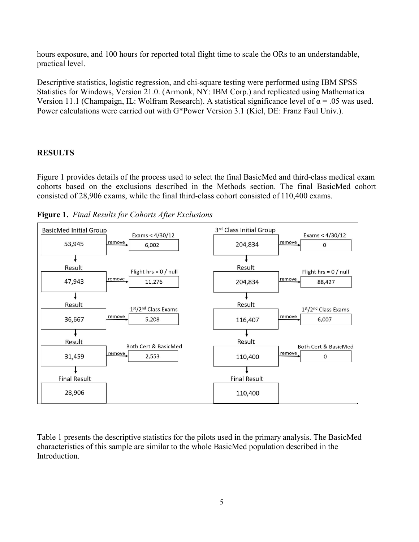hours exposure, and 100 hours for reported total flight time to scale the ORs to an understandable, practical level.

Descriptive statistics, logistic regression, and chi-square testing were performed using IBM SPSS Statistics for Windows, Version 21.0. (Armonk, NY: IBM Corp.) and replicated using Mathematica Version 11.1 (Champaign, IL: Wolfram Research). A statistical significance level of  $\alpha = .05$  was used. Power calculations were carried out with G\*Power Version 3.1 (Kiel, DE: Franz Faul Univ.).

## **RESULTS**

Figure 1 provides details of the process used to select the final BasicMed and third-class medical exam cohorts based on the exclusions described in the Methods section. The final BasicMed cohort consisted of 28,906 exams, while the final third-class cohort consisted of 110,400 exams.

**Figure 1.** *Final Results for Cohorts After Exclusions*



Table 1 presents the descriptive statistics for the pilots used in the primary analysis. The BasicMed characteristics of this sample are similar to the whole BasicMed population described in the Introduction.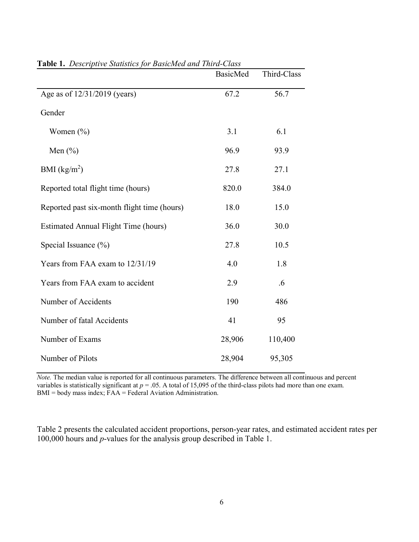|                                             | <b>BasicMed</b> | Third-Class |
|---------------------------------------------|-----------------|-------------|
| Age as of 12/31/2019 (years)                | 67.2            | 56.7        |
| Gender                                      |                 |             |
| Women $(\% )$                               | 3.1             | 6.1         |
| Men $(\% )$                                 | 96.9            | 93.9        |
| BMI $(kg/m^2)$                              | 27.8            | 27.1        |
| Reported total flight time (hours)          | 820.0           | 384.0       |
| Reported past six-month flight time (hours) | 18.0            | 15.0        |
| Estimated Annual Flight Time (hours)        | 36.0            | 30.0        |
| Special Issuance (%)                        | 27.8            | 10.5        |
| Years from FAA exam to 12/31/19             | 4.0             | 1.8         |
| Years from FAA exam to accident             | 2.9             | .6          |
| Number of Accidents                         | 190             | 486         |
| Number of fatal Accidents                   | 41              | 95          |
| Number of Exams                             | 28,906          | 110,400     |
| Number of Pilots                            | 28,904          | 95,305      |

|  | Table 1. Descriptive Statistics for BasicMed and Third-Class |
|--|--------------------------------------------------------------|
|--|--------------------------------------------------------------|

*Note*. The median value is reported for all continuous parameters. The difference between all continuous and percent variables is statistically significant at  $p = .05$ . A total of 15,095 of the third-class pilots had more than one exam. BMI = body mass index; FAA = Federal Aviation Administration.

Table 2 presents the calculated accident proportions, person-year rates, and estimated accident rates per 100,000 hours and *p*-values for the analysis group described in Table 1.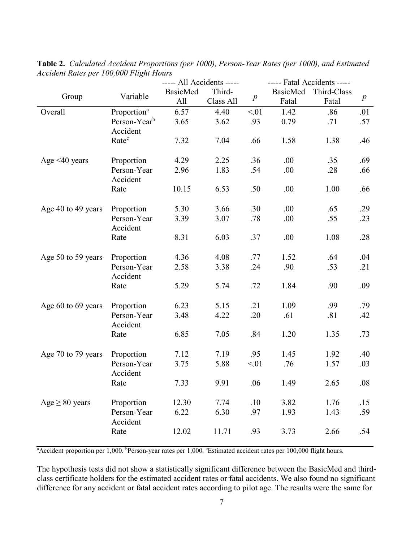|                     |                          | ----- All Accidents ----- |           |                  | ----- Fatal Accidents ----- |             |                  |
|---------------------|--------------------------|---------------------------|-----------|------------------|-----------------------------|-------------|------------------|
|                     | Variable                 | <b>BasicMed</b>           | Third-    |                  | <b>BasicMed</b>             | Third-Class |                  |
| Group               |                          | All                       | Class All | $\boldsymbol{p}$ | Fatal                       | Fatal       | $\boldsymbol{p}$ |
| Overall             | Proportion <sup>a</sup>  | 6.57                      | 4.40      | < 01             | 1.42                        | .86         | .01              |
|                     | Person-Year <sup>b</sup> | 3.65                      | 3.62      | .93              | 0.79                        | .71         | .57              |
|                     | Accident                 |                           |           |                  |                             |             |                  |
|                     | Rate <sup>c</sup>        | 7.32                      | 7.04      | .66              | 1.58                        | 1.38        | .46              |
|                     |                          |                           |           |                  |                             |             |                  |
| Age $\leq 40$ years | Proportion               | 4.29                      | 2.25      | .36              | .00                         | .35         | .69              |
|                     | Person-Year<br>Accident  | 2.96                      | 1.83      | .54              | .00                         | .28         | .66              |
|                     | Rate                     | 10.15                     | 6.53      | .50              | .00                         | 1.00        | .66              |
|                     |                          |                           |           |                  |                             |             |                  |
| Age 40 to 49 years  | Proportion               | 5.30                      | 3.66      | .30              | .00                         | .65         | .29              |
|                     | Person-Year              | 3.39                      | 3.07      | .78              | .00                         | .55         | .23              |
|                     | Accident                 |                           |           |                  |                             |             |                  |
|                     | Rate                     | 8.31                      | 6.03      | .37              | .00                         | 1.08        | .28              |
|                     |                          |                           |           |                  |                             |             |                  |
| Age 50 to 59 years  | Proportion               | 4.36                      | 4.08      | .77              | 1.52                        | .64         | .04              |
|                     | Person-Year              | 2.58                      | 3.38      | .24              | .90                         | .53         | .21              |
|                     | Accident                 |                           |           |                  |                             |             |                  |
|                     | Rate                     | 5.29                      | 5.74      | .72              | 1.84                        | .90         | .09              |
| Age 60 to 69 years  | Proportion               | 6.23                      | 5.15      | .21              | 1.09                        | .99         | .79              |
|                     | Person-Year              | 3.48                      | 4.22      | .20              | .61                         | .81         | .42              |
|                     | Accident                 |                           |           |                  |                             |             |                  |
|                     | Rate                     | 6.85                      | 7.05      | .84              | 1.20                        | 1.35        | .73              |
|                     |                          |                           |           |                  |                             |             |                  |
| Age 70 to 79 years  | Proportion               | 7.12                      | 7.19      | .95              | 1.45                        | 1.92        | .40              |
|                     | Person-Year              | 3.75                      | 5.88      | < 01             | .76                         | 1.57        | .03              |
|                     | Accident                 |                           |           |                  |                             |             |                  |
|                     | Rate                     | 7.33                      | 9.91      | .06              | 1.49                        | 2.65        | $.08\,$          |
|                     |                          |                           |           |                  |                             |             |                  |
| $Age \geq 80 years$ | Proportion               | 12.30                     | 7.74      | .10              | 3.82                        | 1.76        | .15              |
|                     | Person-Year<br>Accident  | 6.22                      | 6.30      | .97              | 1.93                        | 1.43        | .59              |
|                     | Rate                     | 12.02                     | 11.71     | .93              | 3.73                        | 2.66        | .54              |
|                     |                          |                           |           |                  |                             |             |                  |

**Table 2.** *Calculated Accident Proportions (per 1000), Person-Year Rates (per 1000), and Estimated Accident Rates per 100,000 Flight Hours*

<sup>a</sup> Accident proportion per 1,000. <sup>b</sup> Person-year rates per 1,000. *CEstimated accident rates per 100,000 flight hours.* 

The hypothesis tests did not show a statistically significant difference between the BasicMed and thirdclass certificate holders for the estimated accident rates or fatal accidents. We also found no significant difference for any accident or fatal accident rates according to pilot age. The results were the same for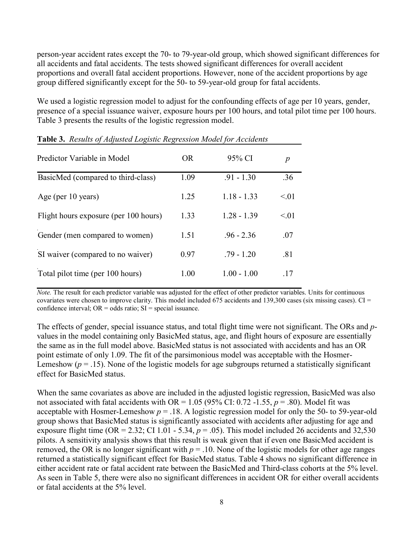person-year accident rates except the 70- to 79-year-old group, which showed significant differences for all accidents and fatal accidents. The tests showed significant differences for overall accident proportions and overall fatal accident proportions. However, none of the accident proportions by age group differed significantly except for the 50- to 59-year-old group for fatal accidents.

We used a logistic regression model to adjust for the confounding effects of age per 10 years, gender, presence of a special issuance waiver, exposure hours per 100 hours, and total pilot time per 100 hours. Table 3 presents the results of the logistic regression model.

| Predictor Variable in Model           | OR.  | 95% CI        | $\boldsymbol{p}$ |
|---------------------------------------|------|---------------|------------------|
| BasicMed (compared to third-class)    | 1.09 | $.91 - 1.30$  | .36              |
| Age (per 10 years)                    | 1.25 | $1.18 - 1.33$ | < 0.01           |
| Flight hours exposure (per 100 hours) | 1.33 | $1.28 - 1.39$ | < 0.01           |
| Gender (men compared to women)        | 1.51 | $.96 - 2.36$  | .07              |
| SI waiver (compared to no waiver)     | 0.97 | $.79 - 1.20$  | .81              |
| Total pilot time (per 100 hours)      | 1.00 | $1.00 - 1.00$ | .17              |

**Table 3.** *Results of Adjusted Logistic Regression Model for Accidents*

*Note.* The result for each predictor variable was adjusted for the effect of other predictor variables. Units for continuous covariates were chosen to improve clarity. This model included 675 accidents and 139,300 cases (six missing cases).  $CI =$ confidence interval;  $OR = odds ratio$ ;  $SI = special$  issuance.

The effects of gender, special issuance status, and total flight time were not significant. The ORs and *p*values in the model containing only BasicMed status, age, and flight hours of exposure are essentially the same as in the full model above. BasicMed status is not associated with accidents and has an OR point estimate of only 1.09. The fit of the parsimonious model was acceptable with the Hosmer-Lemeshow ( $p = .15$ ). None of the logistic models for age subgroups returned a statistically significant effect for BasicMed status.

When the same covariates as above are included in the adjusted logistic regression, BasicMed was also not associated with fatal accidents with OR =  $1.05$  (95% CI: 0.72 -1.55,  $p = .80$ ). Model fit was acceptable with Hosmer-Lemeshow  $p = 0.18$ . A logistic regression model for only the 50- to 59-year-old group shows that BasicMed status is significantly associated with accidents after adjusting for age and exposure flight time (OR = 2.32; CI 1.01 - 5.34,  $p = .05$ ). This model included 26 accidents and 32,530 pilots. A sensitivity analysis shows that this result is weak given that if even one BasicMed accident is removed, the OR is no longer significant with  $p = 0.10$ . None of the logistic models for other age ranges returned a statistically significant effect for BasicMed status. Table 4 shows no significant difference in either accident rate or fatal accident rate between the BasicMed and Third-class cohorts at the 5% level. As seen in Table 5, there were also no significant differences in accident OR for either overall accidents or fatal accidents at the 5% level.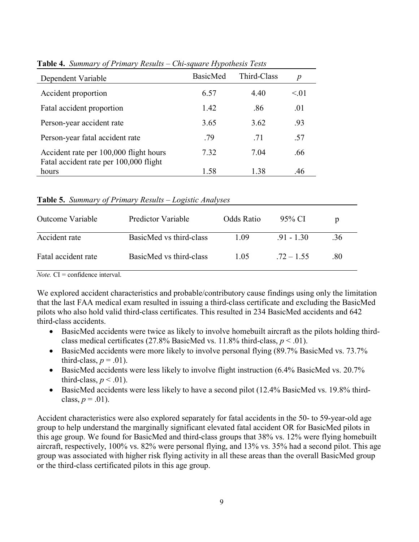| Dependent Variable                              | <b>BasicMed</b> | Third-Class | p    |
|-------------------------------------------------|-----------------|-------------|------|
| Accident proportion                             | 6.57            | 4.40        | < 01 |
| Fatal accident proportion                       | 1.42            | .86         | .01  |
| Person-year accident rate                       | 3.65            | 3.62        | .93  |
| Person-year fatal accident rate                 | .79             | .71         | .57  |
| Accident rate per 100,000 flight hours          | 7.32            | 7.04        | .66  |
| Fatal accident rate per 100,000 flight<br>hours | 1.58            | 1.38        | .46  |

**Table 4.** *Summary of Primary Results – Chi-square Hypothesis Tests*

|  |  | Table 5. Summary of Primary Results - Logistic Analyses |
|--|--|---------------------------------------------------------|
|  |  |                                                         |

| Outcome Variable    | Predictor Variable      | Odds Ratio | 95% CI       | $\mathbf{D}$ |
|---------------------|-------------------------|------------|--------------|--------------|
| Accident rate       | BasicMed vs third-class | 1.09       | $-91 - 1.30$ | .36          |
| Fatal accident rate | BasicMed vs third-class | 1.05       | $.72 - 1.55$ | .80          |

*Note.*  $CI =$  confidence interval.

We explored accident characteristics and probable/contributory cause findings using only the limitation that the last FAA medical exam resulted in issuing a third-class certificate and excluding the BasicMed pilots who also hold valid third-class certificates. This resulted in 234 BasicMed accidents and 642 third-class accidents.

- BasicMed accidents were twice as likely to involve homebuilt aircraft as the pilots holding thirdclass medical certificates (27.8% BasicMed vs.  $11.8\%$  third-class,  $p < .01$ ).
- BasicMed accidents were more likely to involve personal flying (89.7% BasicMed vs. 73.7%) third-class,  $p = .01$ ).
- BasicMed accidents were less likely to involve flight instruction (6.4% BasicMed vs. 20.7%) third-class,  $p < .01$ ).
- BasicMed accidents were less likely to have a second pilot (12.4% BasicMed vs. 19.8% thirdclass,  $p = .01$ ).

Accident characteristics were also explored separately for fatal accidents in the 50- to 59-year-old age group to help understand the marginally significant elevated fatal accident OR for BasicMed pilots in this age group. We found for BasicMed and third-class groups that 38% vs. 12% were flying homebuilt aircraft, respectively, 100% vs. 82% were personal flying, and 13% vs. 35% had a second pilot. This age group was associated with higher risk flying activity in all these areas than the overall BasicMed group or the third-class certificated pilots in this age group.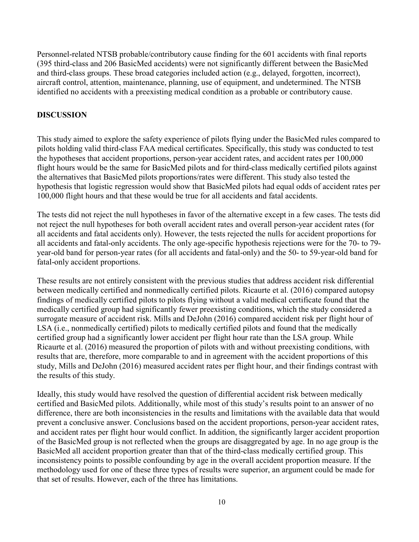Personnel-related NTSB probable/contributory cause finding for the 601 accidents with final reports (395 third-class and 206 BasicMed accidents) were not significantly different between the BasicMed and third-class groups. These broad categories included action (e.g., delayed, forgotten, incorrect), aircraft control, attention, maintenance, planning, use of equipment, and undetermined. The NTSB identified no accidents with a preexisting medical condition as a probable or contributory cause.

### **DISCUSSION**

This study aimed to explore the safety experience of pilots flying under the BasicMed rules compared to pilots holding valid third-class FAA medical certificates. Specifically, this study was conducted to test the hypotheses that accident proportions, person-year accident rates, and accident rates per 100,000 flight hours would be the same for BasicMed pilots and for third-class medically certified pilots against the alternatives that BasicMed pilots proportions/rates were different. This study also tested the hypothesis that logistic regression would show that BasicMed pilots had equal odds of accident rates per 100,000 flight hours and that these would be true for all accidents and fatal accidents.

The tests did not reject the null hypotheses in favor of the alternative except in a few cases. The tests did not reject the null hypotheses for both overall accident rates and overall person-year accident rates (for all accidents and fatal accidents only). However, the tests rejected the nulls for accident proportions for all accidents and fatal-only accidents. The only age-specific hypothesis rejections were for the 70- to 79 year-old band for person-year rates (for all accidents and fatal-only) and the 50- to 59-year-old band for fatal-only accident proportions.

These results are not entirely consistent with the previous studies that address accident risk differential between medically certified and nonmedically certified pilots. Ricaurte et al. (2016) compared autopsy findings of medically certified pilots to pilots flying without a valid medical certificate found that the medically certified group had significantly fewer preexisting conditions, which the study considered a surrogate measure of accident risk. Mills and DeJohn (2016) compared accident risk per flight hour of LSA (i.e., nonmedically certified) pilots to medically certified pilots and found that the medically certified group had a significantly lower accident per flight hour rate than the LSA group. While Ricaurte et al. (2016) measured the proportion of pilots with and without preexisting conditions, with results that are, therefore, more comparable to and in agreement with the accident proportions of this study, Mills and DeJohn (2016) measured accident rates per flight hour, and their findings contrast with the results of this study.

Ideally, this study would have resolved the question of differential accident risk between medically certified and BasicMed pilots. Additionally, while most of this study's results point to an answer of no difference, there are both inconsistencies in the results and limitations with the available data that would prevent a conclusive answer. Conclusions based on the accident proportions, person-year accident rates, and accident rates per flight hour would conflict. In addition, the significantly larger accident proportion of the BasicMed group is not reflected when the groups are disaggregated by age. In no age group is the BasicMed all accident proportion greater than that of the third-class medically certified group. This inconsistency points to possible confounding by age in the overall accident proportion measure. If the methodology used for one of these three types of results were superior, an argument could be made for that set of results. However, each of the three has limitations.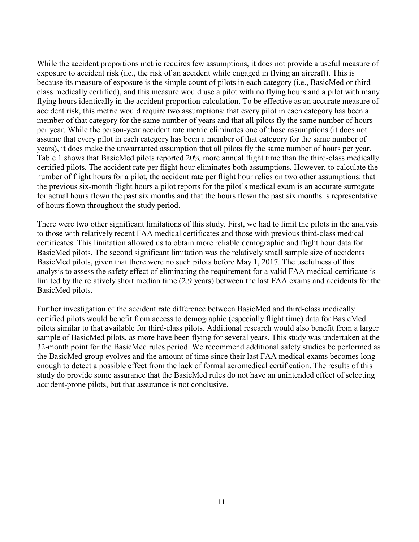While the accident proportions metric requires few assumptions, it does not provide a useful measure of exposure to accident risk (i.e., the risk of an accident while engaged in flying an aircraft). This is because its measure of exposure is the simple count of pilots in each category (i.e., BasicMed or thirdclass medically certified), and this measure would use a pilot with no flying hours and a pilot with many flying hours identically in the accident proportion calculation. To be effective as an accurate measure of accident risk, this metric would require two assumptions: that every pilot in each category has been a member of that category for the same number of years and that all pilots fly the same number of hours per year. While the person-year accident rate metric eliminates one of those assumptions (it does not assume that every pilot in each category has been a member of that category for the same number of years), it does make the unwarranted assumption that all pilots fly the same number of hours per year. Table 1 shows that BasicMed pilots reported 20% more annual flight time than the third-class medically certified pilots. The accident rate per flight hour eliminates both assumptions. However, to calculate the number of flight hours for a pilot, the accident rate per flight hour relies on two other assumptions: that the previous six-month flight hours a pilot reports for the pilot's medical exam is an accurate surrogate for actual hours flown the past six months and that the hours flown the past six months is representative of hours flown throughout the study period.

There were two other significant limitations of this study. First, we had to limit the pilots in the analysis to those with relatively recent FAA medical certificates and those with previous third-class medical certificates. This limitation allowed us to obtain more reliable demographic and flight hour data for BasicMed pilots. The second significant limitation was the relatively small sample size of accidents BasicMed pilots, given that there were no such pilots before May 1, 2017. The usefulness of this analysis to assess the safety effect of eliminating the requirement for a valid FAA medical certificate is limited by the relatively short median time (2.9 years) between the last FAA exams and accidents for the BasicMed pilots.

Further investigation of the accident rate difference between BasicMed and third-class medically certified pilots would benefit from access to demographic (especially flight time) data for BasicMed pilots similar to that available for third-class pilots. Additional research would also benefit from a larger sample of BasicMed pilots, as more have been flying for several years. This study was undertaken at the 32-month point for the BasicMed rules period. We recommend additional safety studies be performed as the BasicMed group evolves and the amount of time since their last FAA medical exams becomes long enough to detect a possible effect from the lack of formal aeromedical certification. The results of this study do provide some assurance that the BasicMed rules do not have an unintended effect of selecting accident-prone pilots, but that assurance is not conclusive.